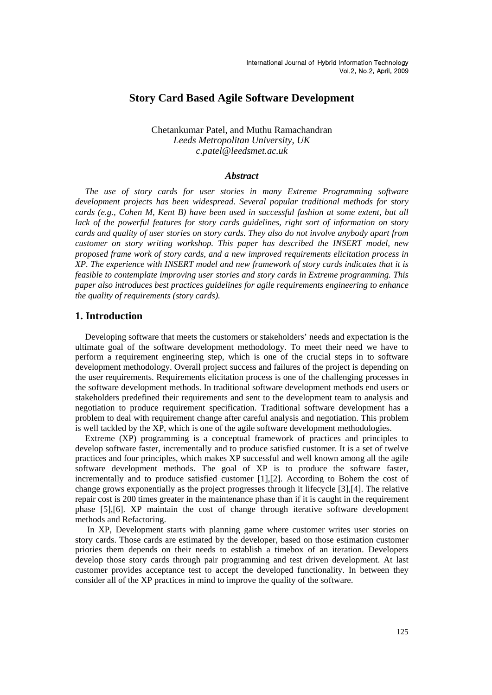## **Story Card Based Agile Software Development**

## Chetankumar Patel, and Muthu Ramachandran *Leeds Metropolitan University, UK c.patel@leedsmet.ac.uk*

#### *Abstract*

*The use of story cards for user stories in many Extreme Programming software development projects has been widespread. Several popular traditional methods for story cards (e.g., Cohen M, Kent B) have been used in successful fashion at some extent, but all lack of the powerful features for story cards guidelines, right sort of information on story cards and quality of user stories on story cards. They also do not involve anybody apart from customer on story writing workshop. This paper has described the INSERT model, new proposed frame work of story cards, and a new improved requirements elicitation process in XP. The experience with INSERT model and new framework of story cards indicates that it is feasible to contemplate improving user stories and story cards in Extreme programming. This paper also introduces best practices guidelines for agile requirements engineering to enhance the quality of requirements (story cards).* 

## **1. Introduction**

Developing software that meets the customers or stakeholders' needs and expectation is the ultimate goal of the software development methodology. To meet their need we have to perform a requirement engineering step, which is one of the crucial steps in to software development methodology. Overall project success and failures of the project is depending on the user requirements. Requirements elicitation process is one of the challenging processes in the software development methods. In traditional software development methods end users or stakeholders predefined their requirements and sent to the development team to analysis and negotiation to produce requirement specification. Traditional software development has a problem to deal with requirement change after careful analysis and negotiation. This problem is well tackled by the XP, which is one of the agile software development methodologies.

Extreme (XP) programming is a conceptual framework of practices and principles to develop software faster, incrementally and to produce satisfied customer. It is a set of twelve practices and four principles, which makes XP successful and well known among all the agile software development methods. The goal of XP is to produce the software faster, incrementally and to produce satisfied customer [1],[2]. According to Bohem the cost of change grows exponentially as the project progresses through it lifecycle [3],[4]. The relative repair cost is 200 times greater in the maintenance phase than if it is caught in the requirement phase [5],[6]. XP maintain the cost of change through iterative software development methods and Refactoring.

 In XP, Development starts with planning game where customer writes user stories on story cards. Those cards are estimated by the developer, based on those estimation customer priories them depends on their needs to establish a timebox of an iteration. Developers develop those story cards through pair programming and test driven development. At last customer provides acceptance test to accept the developed functionality. In between they consider all of the XP practices in mind to improve the quality of the software.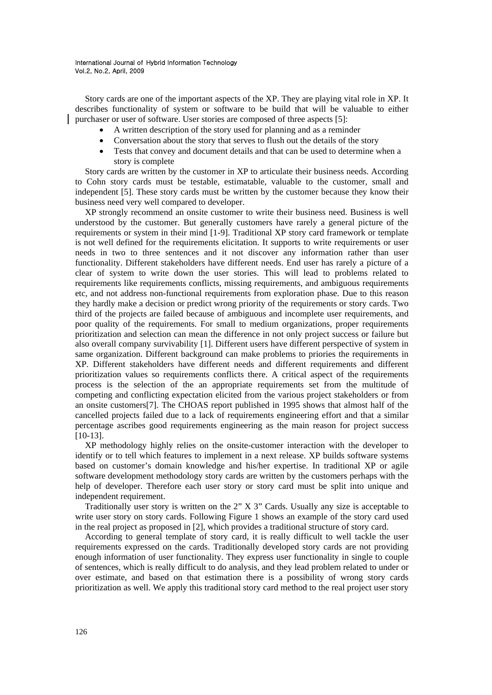Story cards are one of the important aspects of the XP. They are playing vital role in XP. It describes functionality of system or software to be build that will be valuable to either purchaser or user of software. User stories are composed of three aspects [5]:

- A written description of the story used for planning and as a reminder
- Conversation about the story that serves to flush out the details of the story
- Tests that convey and document details and that can be used to determine when a story is complete

Story cards are written by the customer in XP to articulate their business needs. According to Cohn story cards must be testable, estimatable, valuable to the customer, small and independent [5]. These story cards must be written by the customer because they know their business need very well compared to developer.

XP strongly recommend an onsite customer to write their business need. Business is well understood by the customer. But generally customers have rarely a general picture of the requirements or system in their mind [1-9]. Traditional XP story card framework or template is not well defined for the requirements elicitation. It supports to write requirements or user needs in two to three sentences and it not discover any information rather than user functionality. Different stakeholders have different needs. End user has rarely a picture of a clear of system to write down the user stories. This will lead to problems related to requirements like requirements conflicts, missing requirements, and ambiguous requirements etc, and not address non-functional requirements from exploration phase. Due to this reason they hardly make a decision or predict wrong priority of the requirements or story cards. Two third of the projects are failed because of ambiguous and incomplete user requirements, and poor quality of the requirements. For small to medium organizations, proper requirements prioritization and selection can mean the difference in not only project success or failure but also overall company survivability [1]. Different users have different perspective of system in same organization. Different background can make problems to priories the requirements in XP. Different stakeholders have different needs and different requirements and different prioritization values so requirements conflicts there. A critical aspect of the requirements process is the selection of the an appropriate requirements set from the multitude of competing and conflicting expectation elicited from the various project stakeholders or from an onsite customers[7]. The CHOAS report published in 1995 shows that almost half of the cancelled projects failed due to a lack of requirements engineering effort and that a similar percentage ascribes good requirements engineering as the main reason for project success [10-13].

XP methodology highly relies on the onsite-customer interaction with the developer to identify or to tell which features to implement in a next release. XP builds software systems based on customer's domain knowledge and his/her expertise. In traditional XP or agile software development methodology story cards are written by the customers perhaps with the help of developer. Therefore each user story or story card must be split into unique and independent requirement.

Traditionally user story is written on the 2" X 3" Cards. Usually any size is acceptable to write user story on story cards. Following Figure 1 shows an example of the story card used in the real project as proposed in [2], which provides a traditional structure of story card.

According to general template of story card, it is really difficult to well tackle the user requirements expressed on the cards. Traditionally developed story cards are not providing enough information of user functionality. They express user functionality in single to couple of sentences, which is really difficult to do analysis, and they lead problem related to under or over estimate, and based on that estimation there is a possibility of wrong story cards prioritization as well. We apply this traditional story card method to the real project user story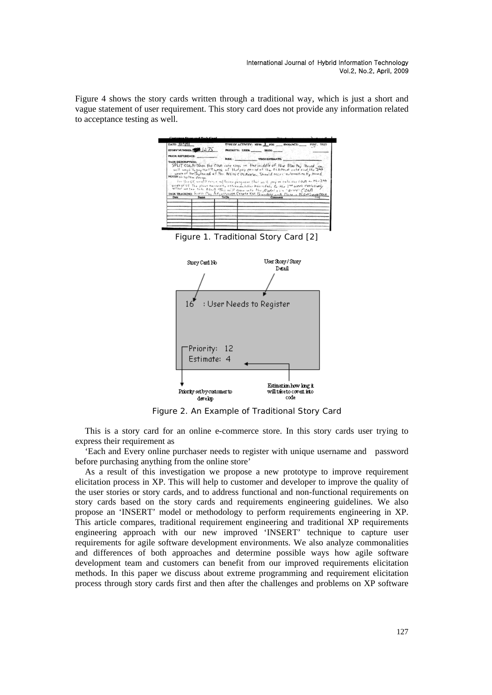Figure 4 shows the story cards written through a traditional way, which is just a short and vague statement of user requirement. This story card does not provide any information related to acceptance testing as well.



Figure 2. An Example of Traditional Story Card

This is a story card for an online e-commerce store. In this story cards user trying to express their requirement as

'Each and Every online purchaser needs to register with unique username and password before purchasing anything from the online store'

As a result of this investigation we propose a new prototype to improve requirement elicitation process in XP. This will help to customer and developer to improve the quality of the user stories or story cards, and to address functional and non-functional requirements on story cards based on the story cards and requirements engineering guidelines. We also propose an 'INSERT' model or methodology to perform requirements engineering in XP. This article compares, traditional requirement engineering and traditional XP requirements engineering approach with our new improved 'INSERT' technique to capture user requirements for agile software development environments. We also analyze commonalities and differences of both approaches and determine possible ways how agile software development team and customers can benefit from our improved requirements elicitation methods. In this paper we discuss about extreme programming and requirement elicitation process through story cards first and then after the challenges and problems on XP software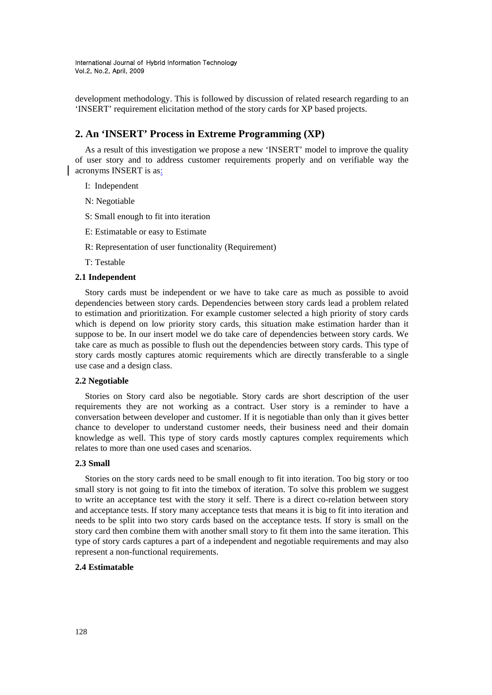development methodology. This is followed by discussion of related research regarding to an 'INSERT' requirement elicitation method of the story cards for XP based projects.

# **2. An 'INSERT' Process in Extreme Programming (XP)**

As a result of this investigation we propose a new 'INSERT' model to improve the quality of user story and to address customer requirements properly and on verifiable way the acronyms INSERT is as:

- I: Independent
- N: Negotiable
- S: Small enough to fit into iteration
- E: Estimatable or easy to Estimate
- R: Representation of user functionality (Requirement)
- T: Testable

## **2.1 Independent**

Story cards must be independent or we have to take care as much as possible to avoid dependencies between story cards. Dependencies between story cards lead a problem related to estimation and prioritization. For example customer selected a high priority of story cards which is depend on low priority story cards, this situation make estimation harder than it suppose to be. In our insert model we do take care of dependencies between story cards. We take care as much as possible to flush out the dependencies between story cards. This type of story cards mostly captures atomic requirements which are directly transferable to a single use case and a design class.

#### **2.2 Negotiable**

Stories on Story card also be negotiable. Story cards are short description of the user requirements they are not working as a contract. User story is a reminder to have a conversation between developer and customer. If it is negotiable than only than it gives better chance to developer to understand customer needs, their business need and their domain knowledge as well. This type of story cards mostly captures complex requirements which relates to more than one used cases and scenarios.

#### **2.3 Small**

Stories on the story cards need to be small enough to fit into iteration. Too big story or too small story is not going to fit into the timebox of iteration. To solve this problem we suggest to write an acceptance test with the story it self. There is a direct co-relation between story and acceptance tests. If story many acceptance tests that means it is big to fit into iteration and needs to be split into two story cards based on the acceptance tests. If story is small on the story card then combine them with another small story to fit them into the same iteration. This type of story cards captures a part of a independent and negotiable requirements and may also represent a non-functional requirements.

#### **2.4 Estimatable**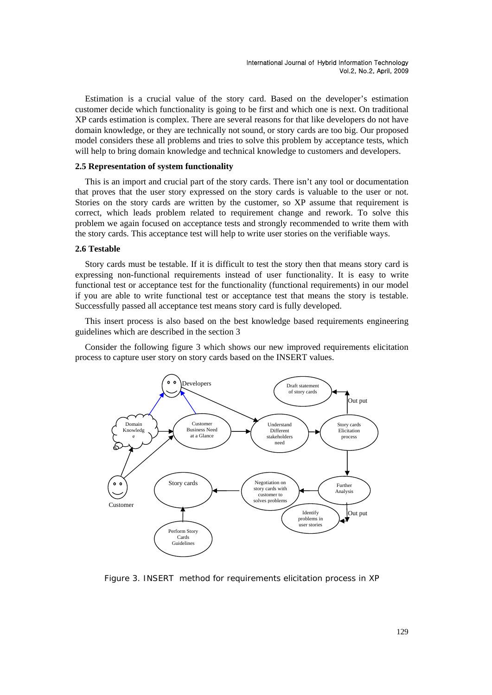Estimation is a crucial value of the story card. Based on the developer's estimation customer decide which functionality is going to be first and which one is next. On traditional XP cards estimation is complex. There are several reasons for that like developers do not have domain knowledge, or they are technically not sound, or story cards are too big. Our proposed model considers these all problems and tries to solve this problem by acceptance tests, which will help to bring domain knowledge and technical knowledge to customers and developers.

#### **2.5 Representation of system functionality**

This is an import and crucial part of the story cards. There isn't any tool or documentation that proves that the user story expressed on the story cards is valuable to the user or not. Stories on the story cards are written by the customer, so XP assume that requirement is correct, which leads problem related to requirement change and rework. To solve this problem we again focused on acceptance tests and strongly recommended to write them with the story cards. This acceptance test will help to write user stories on the verifiable ways.

## **2.6 Testable**

Story cards must be testable. If it is difficult to test the story then that means story card is expressing non-functional requirements instead of user functionality. It is easy to write functional test or acceptance test for the functionality (functional requirements) in our model if you are able to write functional test or acceptance test that means the story is testable. Successfully passed all acceptance test means story card is fully developed.

This insert process is also based on the best knowledge based requirements engineering guidelines which are described in the section 3

Consider the following figure 3 which shows our new improved requirements elicitation process to capture user story on story cards based on the INSERT values.



Figure 3. INSERT method for requirements elicitation process in XP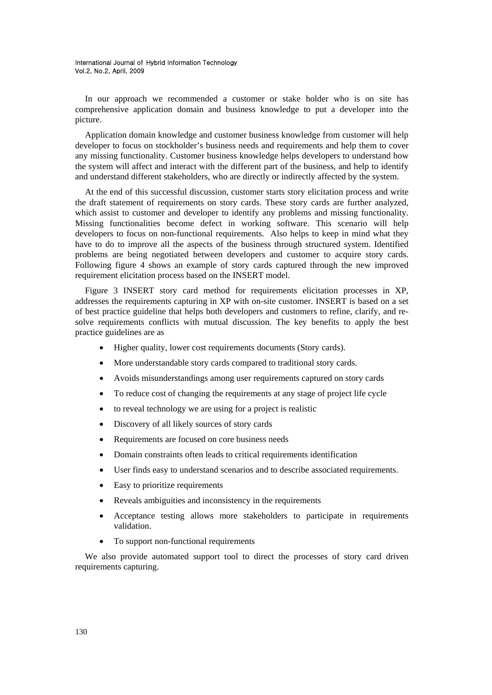In our approach we recommended a customer or stake holder who is on site has comprehensive application domain and business knowledge to put a developer into the picture.

Application domain knowledge and customer business knowledge from customer will help developer to focus on stockholder's business needs and requirements and help them to cover any missing functionality. Customer business knowledge helps developers to understand how the system will affect and interact with the different part of the business, and help to identify and understand different stakeholders, who are directly or indirectly affected by the system.

At the end of this successful discussion, customer starts story elicitation process and write the draft statement of requirements on story cards. These story cards are further analyzed, which assist to customer and developer to identify any problems and missing functionality. Missing functionalities become defect in working software. This scenario will help developers to focus on non-functional requirements. Also helps to keep in mind what they have to do to improve all the aspects of the business through structured system. Identified problems are being negotiated between developers and customer to acquire story cards. Following figure 4 shows an example of story cards captured through the new improved requirement elicitation process based on the INSERT model.

Figure 3 INSERT story card method for requirements elicitation processes in XP, addresses the requirements capturing in XP with on-site customer. INSERT is based on a set of best practice guideline that helps both developers and customers to refine, clarify, and resolve requirements conflicts with mutual discussion. The key benefits to apply the best practice guidelines are as

- Higher quality, lower cost requirements documents (Story cards).
- More understandable story cards compared to traditional story cards.
- Avoids misunderstandings among user requirements captured on story cards
- To reduce cost of changing the requirements at any stage of project life cycle
- to reveal technology we are using for a project is realistic
- Discovery of all likely sources of story cards
- Requirements are focused on core business needs
- Domain constraints often leads to critical requirements identification
- User finds easy to understand scenarios and to describe associated requirements.
- Easy to prioritize requirements
- Reveals ambiguities and inconsistency in the requirements
- Acceptance testing allows more stakeholders to participate in requirements validation.
- To support non-functional requirements

We also provide automated support tool to direct the processes of story card driven requirements capturing.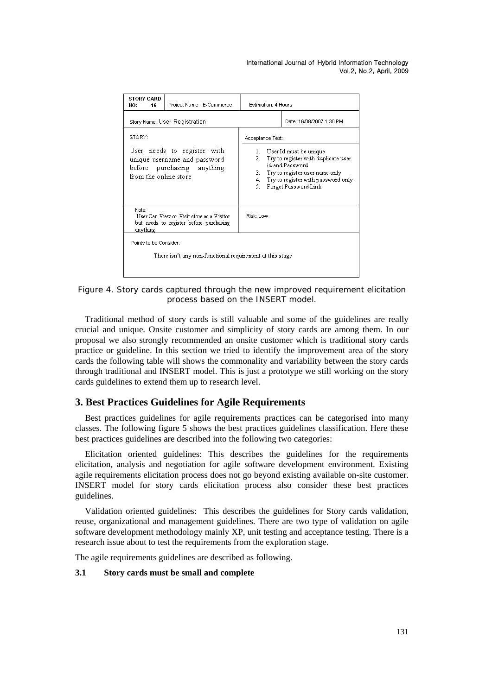| <b>STORY CARD</b><br>ΝО:<br>16                                                                                                | Project Name E-Commerce                                                              | Estimation: 4 Hours                                                                                                                                                                                                             |                          |  |  |
|-------------------------------------------------------------------------------------------------------------------------------|--------------------------------------------------------------------------------------|---------------------------------------------------------------------------------------------------------------------------------------------------------------------------------------------------------------------------------|--------------------------|--|--|
| Story Name: User Registration                                                                                                 |                                                                                      |                                                                                                                                                                                                                                 | Date: 16/08/2007 1:30 PM |  |  |
| STORY:<br>User needs to register with<br>unique username and password<br>before purchasing anything<br>from the online store. |                                                                                      | Acceptance Test:<br>1. User Id must be unique<br>Try to register with duplicate user<br>2.<br>id and Password<br>Try to register user name only<br>3.<br>Try to register with password only<br>4.<br>5.<br>Forget Password Link |                          |  |  |
| Note:<br>anything                                                                                                             | User Can View or Visit store as a Visitor<br>but needs to register before purchasing | Risk: Low                                                                                                                                                                                                                       |                          |  |  |
| Points to be Consider:<br>There isn't any non-functional requirement at this stage                                            |                                                                                      |                                                                                                                                                                                                                                 |                          |  |  |

Figure 4. Story cards captured through the new improved requirement elicitation process based on the INSERT model.

Traditional method of story cards is still valuable and some of the guidelines are really crucial and unique. Onsite customer and simplicity of story cards are among them. In our proposal we also strongly recommended an onsite customer which is traditional story cards practice or guideline. In this section we tried to identify the improvement area of the story cards the following table will shows the commonality and variability between the story cards through traditional and INSERT model. This is just a prototype we still working on the story cards guidelines to extend them up to research level.

## **3. Best Practices Guidelines for Agile Requirements**

Best practices guidelines for agile requirements practices can be categorised into many classes. The following figure 5 shows the best practices guidelines classification. Here these best practices guidelines are described into the following two categories:

Elicitation oriented guidelines: This describes the guidelines for the requirements elicitation, analysis and negotiation for agile software development environment. Existing agile requirements elicitation process does not go beyond existing available on-site customer. INSERT model for story cards elicitation process also consider these best practices guidelines.

Validation oriented guidelines: This describes the guidelines for Story cards validation, reuse, organizational and management guidelines. There are two type of validation on agile software development methodology mainly XP, unit testing and acceptance testing. There is a research issue about to test the requirements from the exploration stage.

The agile requirements guidelines are described as following.

## **3.1 Story cards must be small and complete**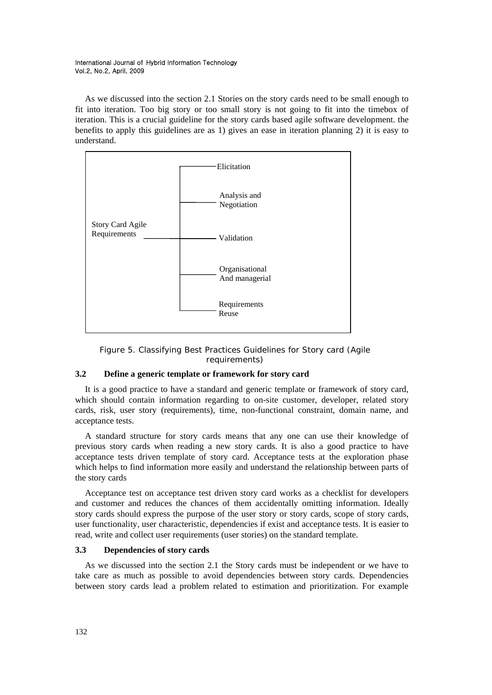As we discussed into the section 2.1 Stories on the story cards need to be small enough to fit into iteration. Too big story or too small story is not going to fit into the timebox of iteration. This is a crucial guideline for the story cards based agile software development. the benefits to apply this guidelines are as 1) gives an ease in iteration planning 2) it is easy to understand.





## **3.2 Define a generic template or framework for story card**

It is a good practice to have a standard and generic template or framework of story card, which should contain information regarding to on-site customer, developer, related story cards, risk, user story (requirements), time, non-functional constraint, domain name, and acceptance tests.

A standard structure for story cards means that any one can use their knowledge of previous story cards when reading a new story cards. It is also a good practice to have acceptance tests driven template of story card. Acceptance tests at the exploration phase which helps to find information more easily and understand the relationship between parts of the story cards

Acceptance test on acceptance test driven story card works as a checklist for developers and customer and reduces the chances of them accidentally omitting information. Ideally story cards should express the purpose of the user story or story cards, scope of story cards, user functionality, user characteristic, dependencies if exist and acceptance tests. It is easier to read, write and collect user requirements (user stories) on the standard template.

### **3.3 Dependencies of story cards**

As we discussed into the section 2.1 the Story cards must be independent or we have to take care as much as possible to avoid dependencies between story cards. Dependencies between story cards lead a problem related to estimation and prioritization. For example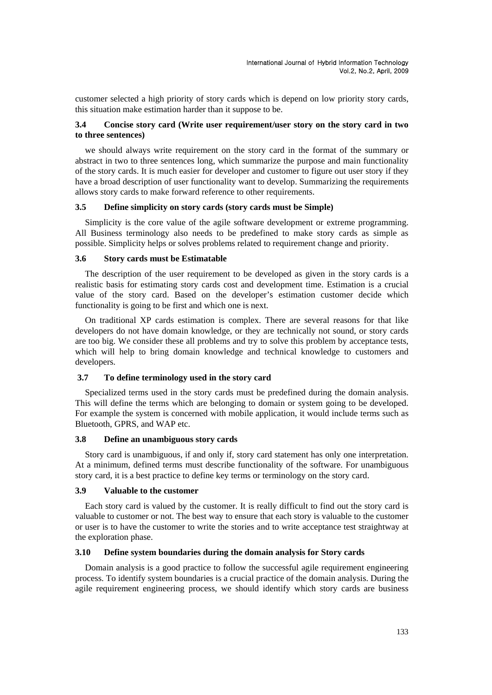customer selected a high priority of story cards which is depend on low priority story cards, this situation make estimation harder than it suppose to be.

## **3.4 Concise story card (Write user requirement/user story on the story card in two to three sentences)**

we should always write requirement on the story card in the format of the summary or abstract in two to three sentences long, which summarize the purpose and main functionality of the story cards. It is much easier for developer and customer to figure out user story if they have a broad description of user functionality want to develop. Summarizing the requirements allows story cards to make forward reference to other requirements.

## **3.5 Define simplicity on story cards (story cards must be Simple)**

Simplicity is the core value of the agile software development or extreme programming. All Business terminology also needs to be predefined to make story cards as simple as possible. Simplicity helps or solves problems related to requirement change and priority.

## **3.6 Story cards must be Estimatable**

The description of the user requirement to be developed as given in the story cards is a realistic basis for estimating story cards cost and development time. Estimation is a crucial value of the story card. Based on the developer's estimation customer decide which functionality is going to be first and which one is next.

On traditional XP cards estimation is complex. There are several reasons for that like developers do not have domain knowledge, or they are technically not sound, or story cards are too big. We consider these all problems and try to solve this problem by acceptance tests, which will help to bring domain knowledge and technical knowledge to customers and developers.

## **3.7 To define terminology used in the story card**

Specialized terms used in the story cards must be predefined during the domain analysis. This will define the terms which are belonging to domain or system going to be developed. For example the system is concerned with mobile application, it would include terms such as Bluetooth, GPRS, and WAP etc.

### **3.8 Define an unambiguous story cards**

Story card is unambiguous, if and only if, story card statement has only one interpretation. At a minimum, defined terms must describe functionality of the software. For unambiguous story card, it is a best practice to define key terms or terminology on the story card.

### **3.9 Valuable to the customer**

Each story card is valued by the customer. It is really difficult to find out the story card is valuable to customer or not. The best way to ensure that each story is valuable to the customer or user is to have the customer to write the stories and to write acceptance test straightway at the exploration phase.

## **3.10 Define system boundaries during the domain analysis for Story cards**

Domain analysis is a good practice to follow the successful agile requirement engineering process. To identify system boundaries is a crucial practice of the domain analysis. During the agile requirement engineering process, we should identify which story cards are business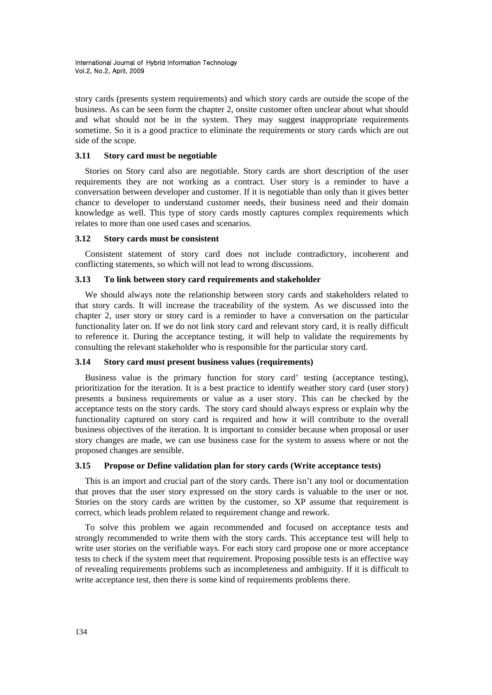story cards (presents system requirements) and which story cards are outside the scope of the business. As can be seen form the chapter 2, onsite customer often unclear about what should and what should not be in the system. They may suggest inappropriate requirements sometime. So it is a good practice to eliminate the requirements or story cards which are out side of the scope.

### **3.11 Story card must be negotiable**

Stories on Story card also are negotiable. Story cards are short description of the user requirements they are not working as a contract. User story is a reminder to have a conversation between developer and customer. If it is negotiable than only than it gives better chance to developer to understand customer needs, their business need and their domain knowledge as well. This type of story cards mostly captures complex requirements which relates to more than one used cases and scenarios.

### **3.12 Story cards must be consistent**

Consistent statement of story card does not include contradictory, incoherent and conflicting statements, so which will not lead to wrong discussions.

### **3.13 To link between story card requirements and stakeholder**

We should always note the relationship between story cards and stakeholders related to that story cards. It will increase the traceability of the system. As we discussed into the chapter 2, user story or story card is a reminder to have a conversation on the particular functionality later on. If we do not link story card and relevant story card, it is really difficult to reference it. During the acceptance testing, it will help to validate the requirements by consulting the relevant stakeholder who is responsible for the particular story card.

### **3.14 Story card must present business values (requirements)**

Business value is the primary function for story card' testing (acceptance testing), prioritization for the iteration. It is a best practice to identify weather story card (user story) presents a business requirements or value as a user story. This can be checked by the acceptance tests on the story cards. The story card should always express or explain why the functionality captured on story card is required and how it will contribute to the overall business objectives of the iteration. It is important to consider because when proposal or user story changes are made, we can use business case for the system to assess where or not the proposed changes are sensible.

### **3.15 Propose or Define validation plan for story cards (Write acceptance tests)**

This is an import and crucial part of the story cards. There isn't any tool or documentation that proves that the user story expressed on the story cards is valuable to the user or not. Stories on the story cards are written by the customer, so XP assume that requirement is correct, which leads problem related to requirement change and rework.

To solve this problem we again recommended and focused on acceptance tests and strongly recommended to write them with the story cards. This acceptance test will help to write user stories on the verifiable ways. For each story card propose one or more acceptance tests to check if the system meet that requirement. Proposing possible tests is an effective way of revealing requirements problems such as incompleteness and ambiguity. If it is difficult to write acceptance test, then there is some kind of requirements problems there.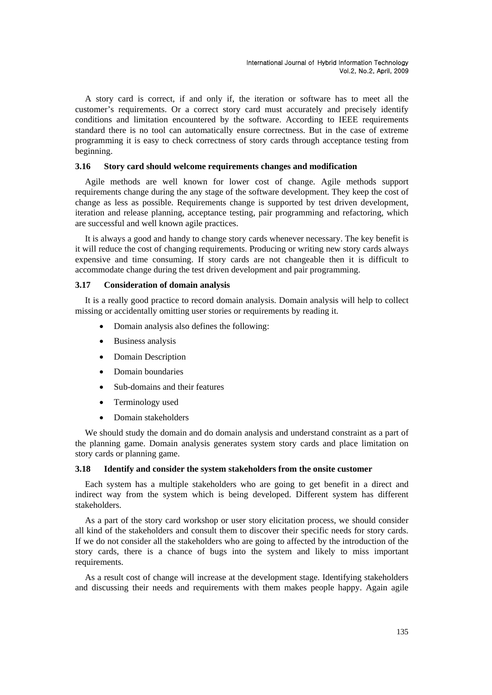A story card is correct, if and only if, the iteration or software has to meet all the customer's requirements. Or a correct story card must accurately and precisely identify conditions and limitation encountered by the software. According to IEEE requirements standard there is no tool can automatically ensure correctness. But in the case of extreme programming it is easy to check correctness of story cards through acceptance testing from beginning.

### **3.16 Story card should welcome requirements changes and modification**

Agile methods are well known for lower cost of change. Agile methods support requirements change during the any stage of the software development. They keep the cost of change as less as possible. Requirements change is supported by test driven development, iteration and release planning, acceptance testing, pair programming and refactoring, which are successful and well known agile practices.

It is always a good and handy to change story cards whenever necessary. The key benefit is it will reduce the cost of changing requirements. Producing or writing new story cards always expensive and time consuming. If story cards are not changeable then it is difficult to accommodate change during the test driven development and pair programming.

#### **3.17 Consideration of domain analysis**

It is a really good practice to record domain analysis. Domain analysis will help to collect missing or accidentally omitting user stories or requirements by reading it.

- Domain analysis also defines the following:
- Business analysis
- Domain Description
- Domain boundaries
- Sub-domains and their features
- Terminology used
- Domain stakeholders

We should study the domain and do domain analysis and understand constraint as a part of the planning game. Domain analysis generates system story cards and place limitation on story cards or planning game.

#### **3.18 Identify and consider the system stakeholders from the onsite customer**

Each system has a multiple stakeholders who are going to get benefit in a direct and indirect way from the system which is being developed. Different system has different stakeholders.

As a part of the story card workshop or user story elicitation process, we should consider all kind of the stakeholders and consult them to discover their specific needs for story cards. If we do not consider all the stakeholders who are going to affected by the introduction of the story cards, there is a chance of bugs into the system and likely to miss important requirements.

As a result cost of change will increase at the development stage. Identifying stakeholders and discussing their needs and requirements with them makes people happy. Again agile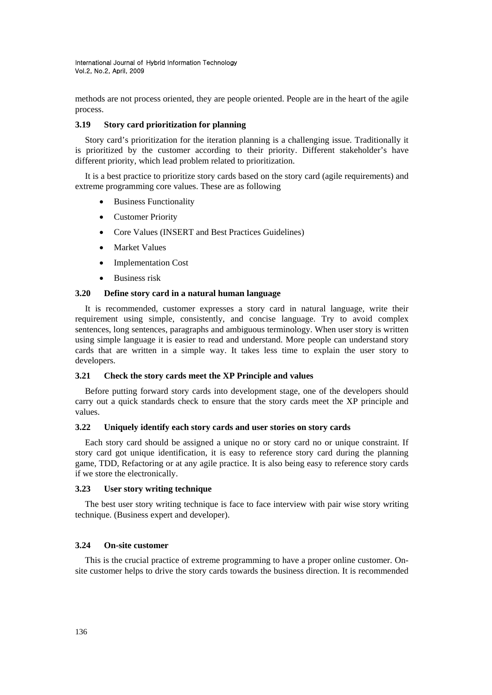methods are not process oriented, they are people oriented. People are in the heart of the agile process.

### **3.19 Story card prioritization for planning**

Story card's prioritization for the iteration planning is a challenging issue. Traditionally it is prioritized by the customer according to their priority. Different stakeholder's have different priority, which lead problem related to prioritization.

It is a best practice to prioritize story cards based on the story card (agile requirements) and extreme programming core values. These are as following

- Business Functionality
- Customer Priority
- Core Values (INSERT and Best Practices Guidelines)
- Market Values
- Implementation Cost
- Business risk

## **3.20 Define story card in a natural human language**

It is recommended, customer expresses a story card in natural language, write their requirement using simple, consistently, and concise language. Try to avoid complex sentences, long sentences, paragraphs and ambiguous terminology. When user story is written using simple language it is easier to read and understand. More people can understand story cards that are written in a simple way. It takes less time to explain the user story to developers.

### **3.21 Check the story cards meet the XP Principle and values**

Before putting forward story cards into development stage, one of the developers should carry out a quick standards check to ensure that the story cards meet the XP principle and values.

### **3.22 Uniquely identify each story cards and user stories on story cards**

Each story card should be assigned a unique no or story card no or unique constraint. If story card got unique identification, it is easy to reference story card during the planning game, TDD, Refactoring or at any agile practice. It is also being easy to reference story cards if we store the electronically.

### **3.23 User story writing technique**

The best user story writing technique is face to face interview with pair wise story writing technique. (Business expert and developer).

### **3.24 On-site customer**

This is the crucial practice of extreme programming to have a proper online customer. Onsite customer helps to drive the story cards towards the business direction. It is recommended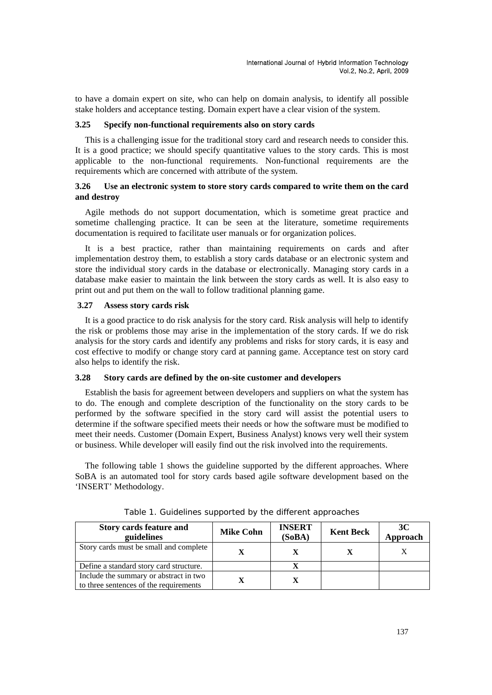to have a domain expert on site, who can help on domain analysis, to identify all possible stake holders and acceptance testing. Domain expert have a clear vision of the system.

### **3.25 Specify non-functional requirements also on story cards**

This is a challenging issue for the traditional story card and research needs to consider this. It is a good practice; we should specify quantitative values to the story cards. This is most applicable to the non-functional requirements. Non-functional requirements are the requirements which are concerned with attribute of the system.

## **3.26 Use an electronic system to store story cards compared to write them on the card and destroy**

Agile methods do not support documentation, which is sometime great practice and sometime challenging practice. It can be seen at the literature, sometime requirements documentation is required to facilitate user manuals or for organization polices.

It is a best practice, rather than maintaining requirements on cards and after implementation destroy them, to establish a story cards database or an electronic system and store the individual story cards in the database or electronically. Managing story cards in a database make easier to maintain the link between the story cards as well. It is also easy to print out and put them on the wall to follow traditional planning game.

## **3.27 Assess story cards risk**

It is a good practice to do risk analysis for the story card. Risk analysis will help to identify the risk or problems those may arise in the implementation of the story cards. If we do risk analysis for the story cards and identify any problems and risks for story cards, it is easy and cost effective to modify or change story card at panning game. Acceptance test on story card also helps to identify the risk.

## **3.28 Story cards are defined by the on-site customer and developers**

Establish the basis for agreement between developers and suppliers on what the system has to do. The enough and complete description of the functionality on the story cards to be performed by the software specified in the story card will assist the potential users to determine if the software specified meets their needs or how the software must be modified to meet their needs. Customer (Domain Expert, Business Analyst) knows very well their system or business. While developer will easily find out the risk involved into the requirements.

The following table 1 shows the guideline supported by the different approaches. Where SoBA is an automated tool for story cards based agile software development based on the 'INSERT' Methodology.

| Story cards feature and<br>guidelines                                            | <b>Mike Cohn</b> | <b>INSERT</b><br>(SoBA) | <b>Kent Beck</b> | 3C<br>Approach |
|----------------------------------------------------------------------------------|------------------|-------------------------|------------------|----------------|
| Story cards must be small and complete                                           |                  |                         |                  |                |
| Define a standard story card structure.                                          |                  |                         |                  |                |
| Include the summary or abstract in two<br>to three sentences of the requirements |                  |                         |                  |                |

Table 1. Guidelines supported by the different approaches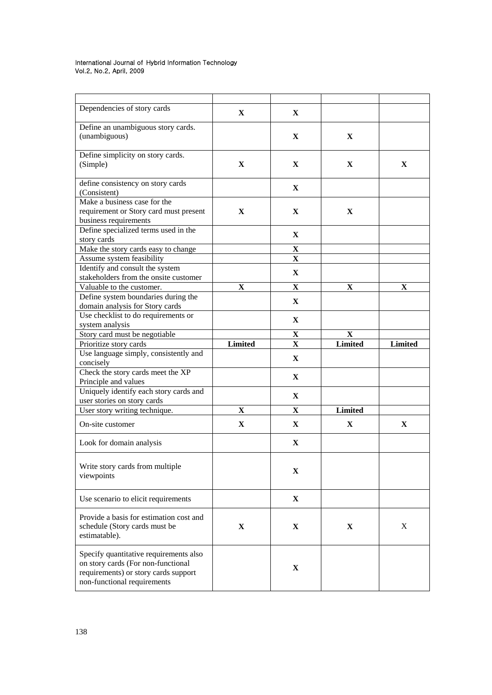| Dependencies of story cards                                                                                                                         | X              | X            |                |                |
|-----------------------------------------------------------------------------------------------------------------------------------------------------|----------------|--------------|----------------|----------------|
| Define an unambiguous story cards.                                                                                                                  |                |              |                |                |
| (unambiguous)                                                                                                                                       |                | $\mathbf X$  | X              |                |
| Define simplicity on story cards.                                                                                                                   |                |              |                |                |
| (Simple)                                                                                                                                            | $\mathbf X$    | $\mathbf X$  | X              | $\mathbf{X}$   |
| define consistency on story cards<br>(Consistent)                                                                                                   |                | X            |                |                |
| Make a business case for the                                                                                                                        |                |              |                |                |
| requirement or Story card must present<br>business requirements                                                                                     | $\mathbf{X}$   | $\mathbf{X}$ | $\mathbf{X}$   |                |
| Define specialized terms used in the<br>story cards                                                                                                 |                | X            |                |                |
| Make the story cards easy to change                                                                                                                 |                | X            |                |                |
| Assume system feasibility                                                                                                                           |                | $\mathbf X$  |                |                |
| Identify and consult the system                                                                                                                     |                |              |                |                |
| stakeholders from the onsite customer                                                                                                               |                | $\mathbf X$  |                |                |
| Valuable to the customer.                                                                                                                           | $\mathbf X$    | $\mathbf X$  | $\mathbf X$    | X              |
| Define system boundaries during the                                                                                                                 |                | $\mathbf X$  |                |                |
| domain analysis for Story cards                                                                                                                     |                |              |                |                |
| Use checklist to do requirements or<br>system analysis                                                                                              |                | $\mathbf X$  |                |                |
| Story card must be negotiable                                                                                                                       |                | X            | $\mathbf{X}$   |                |
| Prioritize story cards                                                                                                                              | <b>Limited</b> | $\mathbf{X}$ | Limited        | <b>Limited</b> |
| Use language simply, consistently and                                                                                                               |                |              |                |                |
| concisely                                                                                                                                           |                | $\mathbf X$  |                |                |
| Check the story cards meet the XP                                                                                                                   |                | $\mathbf{X}$ |                |                |
| Principle and values                                                                                                                                |                |              |                |                |
| Uniquely identify each story cards and                                                                                                              |                | X            |                |                |
| user stories on story cards                                                                                                                         |                |              |                |                |
| User story writing technique.                                                                                                                       | $\mathbf X$    | $\mathbf{X}$ | <b>Limited</b> |                |
| On-site customer                                                                                                                                    | X              | X            | X              | $\mathbf{X}$   |
| Look for domain analysis                                                                                                                            |                | $\mathbf X$  |                |                |
| Write story cards from multiple<br>viewpoints                                                                                                       |                | $\mathbf X$  |                |                |
| Use scenario to elicit requirements                                                                                                                 |                | $\mathbf X$  |                |                |
| Provide a basis for estimation cost and<br>schedule (Story cards must be<br>estimatable).                                                           | $\mathbf X$    | X            | $\mathbf X$    | X              |
| Specify quantitative requirements also<br>on story cards (For non-functional<br>requirements) or story cards support<br>non-functional requirements |                | $\mathbf X$  |                |                |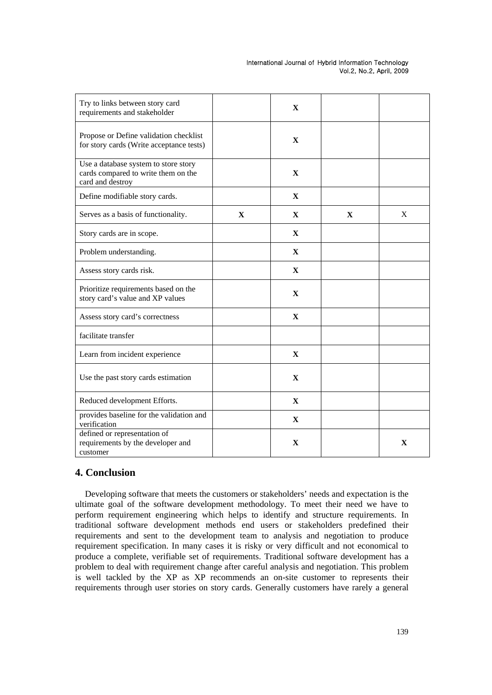| Try to links between story card<br>requirements and stakeholder                                 |              | $\mathbf{X}$ |              |              |
|-------------------------------------------------------------------------------------------------|--------------|--------------|--------------|--------------|
| Propose or Define validation checklist<br>for story cards (Write acceptance tests)              |              | $\mathbf X$  |              |              |
| Use a database system to store story<br>cards compared to write them on the<br>card and destroy |              | $\mathbf{X}$ |              |              |
| Define modifiable story cards.                                                                  |              | $\mathbf{X}$ |              |              |
| Serves as a basis of functionality.                                                             | $\mathbf{X}$ | $\mathbf{X}$ | $\mathbf{X}$ | X            |
| Story cards are in scope.                                                                       |              | X            |              |              |
| Problem understanding.                                                                          |              | X            |              |              |
| Assess story cards risk.                                                                        |              | $\mathbf X$  |              |              |
| Prioritize requirements based on the<br>story card's value and XP values                        |              | $\mathbf{X}$ |              |              |
| Assess story card's correctness                                                                 |              | $\mathbf{X}$ |              |              |
| facilitate transfer                                                                             |              |              |              |              |
| Learn from incident experience                                                                  |              | $\mathbf{X}$ |              |              |
| Use the past story cards estimation                                                             |              | X            |              |              |
| Reduced development Efforts.                                                                    |              | $\mathbf X$  |              |              |
| provides baseline for the validation and<br>verification                                        |              | $\mathbf{X}$ |              |              |
| defined or representation of<br>requirements by the developer and<br>customer                   |              | $\mathbf X$  |              | $\mathbf{X}$ |

# **4. Conclusion**

Developing software that meets the customers or stakeholders' needs and expectation is the ultimate goal of the software development methodology. To meet their need we have to perform requirement engineering which helps to identify and structure requirements. In traditional software development methods end users or stakeholders predefined their requirements and sent to the development team to analysis and negotiation to produce requirement specification. In many cases it is risky or very difficult and not economical to produce a complete, verifiable set of requirements. Traditional software development has a problem to deal with requirement change after careful analysis and negotiation. This problem is well tackled by the XP as XP recommends an on-site customer to represents their requirements through user stories on story cards. Generally customers have rarely a general